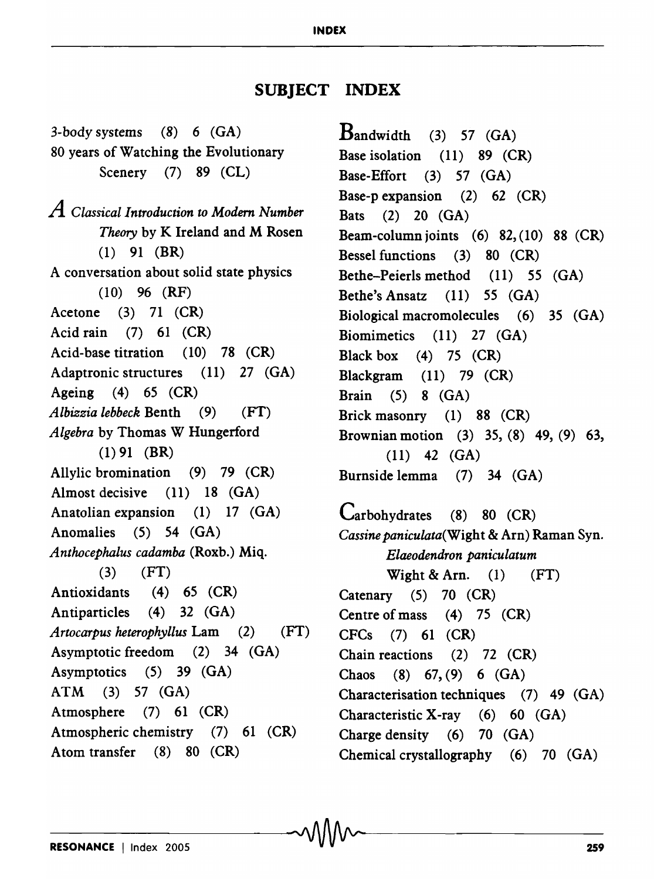## **SUBJECT INDEX**

----------------------------------------~~------------------------25-9

3-body systems (8) 6 (GA) 80 years of Watching the Evolutionary Scenery (7) 89 (CL) *A Classical Introduction to Modem Number Theory* by K Ireland and M Rosen (1) 91 (BR) A conversation about solid state physics (10) 96 (RF) Acetone (3) 71 (CR) Acid rain (7) 61 (CR) Acid-base titration (10) 78 (CR) Adaptronic structures (11) 27 (GA) Ageing (4) 65 (CR) *Albizzia lebbeck* Benth (9) (FT) *Algebra* by Thomas W Hungerford  $(1)$  91 (BR) Allylic bromination (9) 79 (CR) Almost decisive (11) 18 (GA) Anatolian expansion (1) 17 (GA) Anomalies (5) 54 (GA) *Anthocephalus cadamba* (Roxb.) Miq.  $(3)$   $(FT)$ Antioxidants (4) 65 (CR) Antiparticles (4) 32 (GA) *Artocarpus heterophyllus* Lam (2) (FT) Asymptotic freedom (2) 34 (GA) Asymptotics (5) 39 (GA) ATM (3) 57 (GA) Atmosphere (7) 61 (CR) Atmospheric chemistry (7) 61 (CR) Atom transfer (8) 80 (CR)

 $B$ andwidth (3) 57 (GA) Base isolation (11) 89 (CR) Base-Effort (3) 57 (GA) Base-p expansion (2) 62 (CR) Bats (2) 20 (GA) Beam-column joints  $(6)$  82,  $(10)$  88  $(CR)$ Bessel functions (3) 80 (CR) Bethe-Peierls method (11) 55 (GA) Bethe's Ansatz (11) 55 (GA) Biological macromolecules (6) 35 (GA) Biomimetics (11) 27 (GA) Black box  $(4)$  75  $(CR)$ Blackgram (11) 79 (CR) Brain (5) 8 (GA) Brick masonry (1) 88 (CR) Brownian motion (3) 35, (8) 49, (9) 63, (11) 42 (GA) Burnside lemma (7) 34 (GA)

Carbohydrates (8) 80 (CR) *Cassine paniculata(Wight* & Arn) Raman Syn. *Elaeodendron paniculatum*  Wight & Arn.  $(1)$   $(FT)$ Catenary (5) 70 (CR) Centre of mass (4) 75 (CR) CFCs (7) 61 (CR) Chain reactions (2) 72 (CR) Chaos (8) 67, (9) 6 (GA) Characterisation techniques (7) 49 (GA) Characteristic X-ray (6) 60 (GA) Charge density (6) 70 (GA) Chemical crystallography (6) 70 (GA)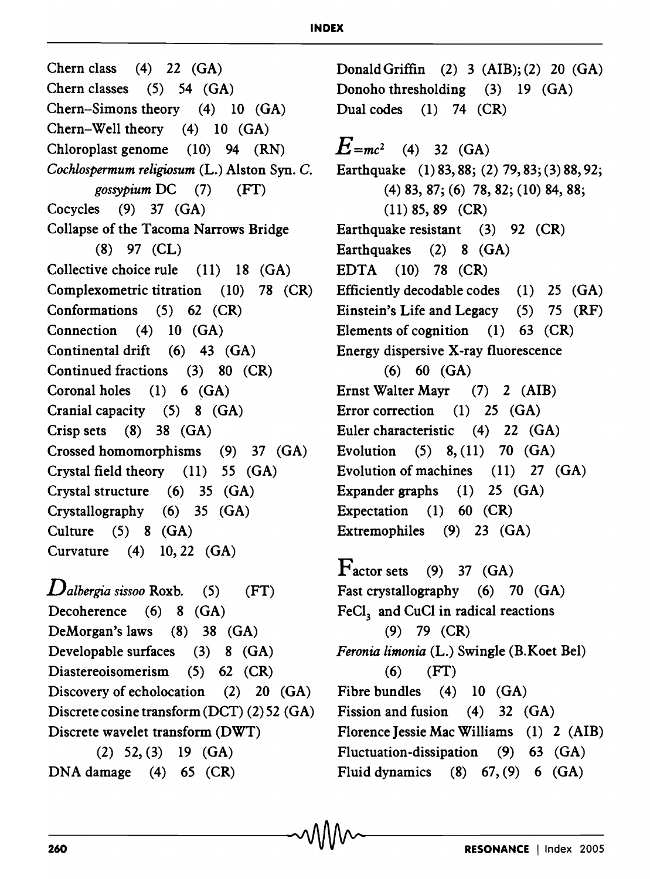## **INDEX**

Chern class (4) 22 (GA) Chern classes (5) 54 (GA) Chern-Simons theory (4) 10 (GA) Chern-Well theory (4) 10 (GA) Chloroplast genome (10) 94 (RN) *Cochlospermum religiosum* (L.) Alston Syn. C. *gossypium* DC (7) (FT) Cocycles  $(9)$  37  $(GA)$ Collapse of the Tacoma Narrows Bridge (8) 97 (CL) Collective choice rule (11) 18 (GA) Complexometric titration (10) 78 (CR) Conformations (5) 62 (CR) Connection (4) 10 (GA) Continental drift (6) 43 (GA) Continued fractions (3) 80 (CR) Coronal holes (1) 6 (GA) Cranial capacity (5) 8 (GA) Crisp sets (8) 38 (GA) Crossed homomorphisms (9) 37 (GA) Crystal field theory (11) 55 (GA) Crystal structure (6) 35 (GA) Crystallography (6) 35 (GA) Culture (5) 8 (GA) Curvature (4) 10,22 (GA)

*Dalbergia sissoo* Roxb. (5) (FT) Decoherence (6) 8 (GA) DeMorgan's laws (8) 38 (GA) Developable surfaces (3) 8 (GA) Diastereoisomerism (5) 62 (CR) Discovery of echolocation (2) 20 (GA) Discrete cosine transform (DCT) (2) 52 (GA) Discrete wavelet transform (DWT) (2) 52, (3) 19 (GA) DNA damage (4) 65 (CR)

Donald Griffin (2) 3 (AlB); (2) 20 (GA) Donoho thresholding (3) 19 (GA) Dual codes (1) 74 (CR)  $E = mc^2$  (4) 32 (GA) Earthquake (1) 83, 88; (2) 79,83; (3) 88, 92; (4) 83, 87; (6) 78, 82; (10) 84, 88; (11) 85, 89 (CR) Earthquake resistant (3) 92 (CR) Earthquakes (2) 8 (GA) EDTA (10) 78 (CR) Efficiently decodable codes (1) 25 (GA) Einstein's Life and Legacy (5) 75 (RF) Elements of cognition  $(1)$  63  $(CR)$ Energy dispersive X-ray fluorescence (6) 60 (GA) Ernst Walter Mayr (7) 2 (AlB) Error correction (1) 25 (GA) Euler characteristic (4) 22 (GA) Evolution (5) 8, (11) 70 (GA) Evolution of machines (11) 27 (GA) Expander graphs (1) 25 (GA) Expectation (1) 60 (CR) Extremophiles (9) 23 (GA)

 $\Gamma$ actor sets (9) 37 (GA) Fast crystallography (6) 70 (GA) FeCl, and CuCl in radical reactions (9) 79 (CR) *Feronia limonia* (L.) Swingle (B.Koet Bel)  $(6)$   $(FT)$ Fibre bundles (4) 10 (GA) Fission and fusion (4) 32 (GA) Florence Jessie Mac Williams (1) 2 (AlB) Fluctuation-dissipation (9) 63 (GA) Fluid dynamics (8)  $67, (9)$  6  $(GA)$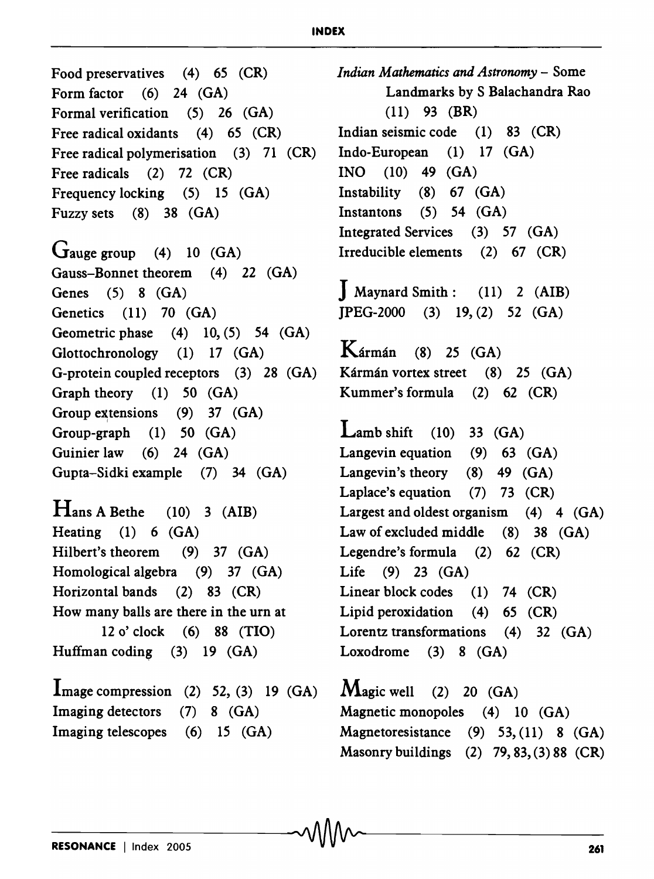## **INDEX**

Food preservatives (4) 65 (CR) Form factor (6) 24 (GA) Formal verification (5) 26 (GA) Free radical oxidants (4) 65 (CR) Free radical polymerisation (3) 71 (CR) Free radicals (2) 72 (CR) Frequency locking (5) 15 (GA) Fuzzy sets (8) 38 (GA) Gauge group  $(4)$  10  $(GA)$ Gauss-Bonnet theorem (4) 22 (GA) Genes (5) 8 (GA) Genetics (11) 70 (GA) Geometric phase  $(4)$  10,  $(5)$  54  $(GA)$ Glottochronology (1) 17 (GA) G-protein coupled receptors (3) 28 (GA) Graph theory (1) 50 (GA) Group extensions  $(9)$  37  $(GA)$ Group-graph (1) 50 (GA) Guinier law (6) 24 (GA) Gupta-Sidki example (7) 34 (GA)  $H$ ans A Bethe (10) 3 (AIB) Heating (1) 6 (GA) Hilbert's theorem (9) 37 (GA) Homological algebra (9) 37 (GA) Horizontal bands (2) 83 (CR) How many balls are there in the urn at 12 0' clock (6) 88 (TIO) Huffman coding (3) 19 (GA)  $\Gamma$ mage compression (2) 52, (3) 19 (GA) Imaging detectors (7) 8 (GA)

*Indian Mathematics and Astronomy* - Some Landmarks by S Balachandra Rao (11) 93 (BR) Indian seismic code (1) 83 (CR) Indo-European (1) 17 (GA)  $INO$  (10) 49 (GA) Instability (8) 67 (GA) Instantons (5) 54 (GA) Integrated Services (3) 57 (GA) Irreducible elements (2) 67 (CR)  $\int$  Maynard Smith: (11) 2 (AIB) JPEG-2000 (3) 19, (2) 52 (GA)  $K$ ármán (8) 25 (GA) Kármán vortex street (8) 25 (GA) Kummer's formula (2) 62 (CR) Lamb shift  $(10)$  33  $(GA)$ Langevin equation (9) 63 (GA) Langevin's theory (8) 49 (GA) Laplace's equation (7) 73 (CR) Largest and oldest organism  $(4)$  4  $(GA)$ Law of excluded middle (8) 38 (GA) Legendre's formula (2) 62 (CR) Life (9) 23 (GA) Linear block codes (1) 74 (CR) Lipid peroxidation (4) 65 (CR)

Lorentz transformations (4) 32 (GA) Loxodrome (3) 8 (GA)

 $\mathbf{M}$ agic well (2) 20 (GA) Magnetic monopoles (4) 10 (GA) Magnetoresistance (9) 53, (11) 8 (GA) Masonry buildings (2) 79,83, (3) 88 (CR)

Imaging telescopes (6) 15 (GA)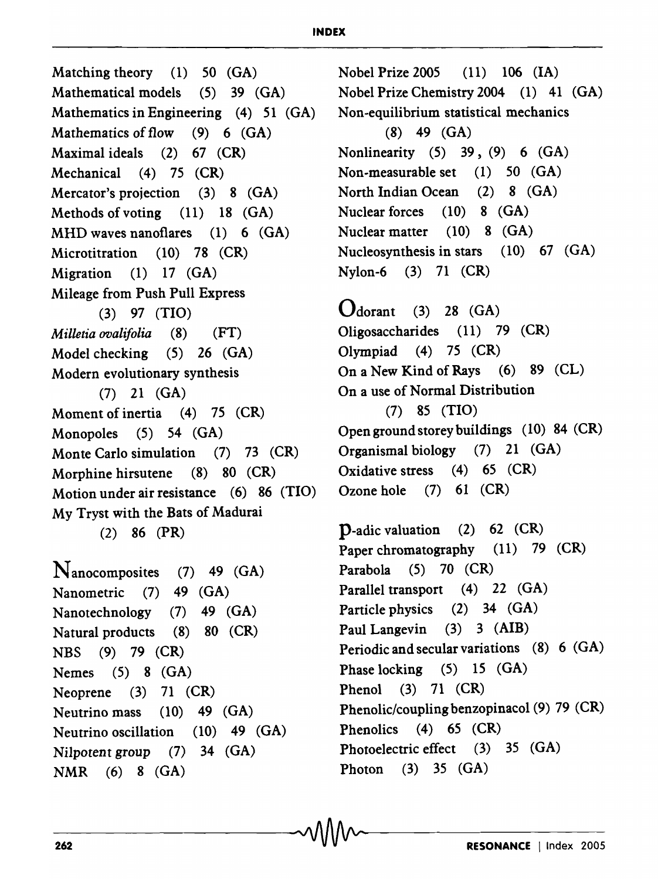Matching theory (1) 50 (GA) Mathematical models (5) 39 (GA) Mathematics in Engineering (4) 51 (GA) Mathematics of flow (9) 6 (GA) Maximal ideals (2) 67 (CR) Mechanical (4) 75 (CR) Mercator's projection (3) 8 (GA) Methods of voting (11) 18 (GA) MHD waves nanoflares (1) 6 (GA) Microtitration (10) 78 (CR) Migration (1) 17 (GA) Mileage from Push Pull Express (3) 97 (TIO) *Milletia ovalifolia* (8) (FT) Model checking (5) 26 (GA) Modern evolutionary synthesis (7) 21 (GA) Moment of inertia (4) 75 (CR) Monopoles (5) 54 (GA) Monte Carlo simulation (7) 73 (CR) Morphine hirsutene (8) 80 (CR) Motion under air resistance (6) 86 (TIO) My Tryst with the Bats of Madurai (2) 86 (PR)  $N_{\rm anocomposites}$  (7) 49 (GA) Nanometric (7) 49 (GA) Nanotechnology (7) 49 (GA) Natural products (8) 80 (CR) NBS (9) 79 (CR)

Nobel Prize 2005 (11) 106 (IA) Nobel Prize Chemistry 2004 (1) 41 (GA) Non-equilibrium statistical mechanics (8) 49 (GA) Nonlinearity (5) 39, (9) 6 (GA) Non-measurable set (1) 50 (GA) North Indian Ocean (2) 8 (GA) Nuclear forces (10) 8 (GA) Nuclear matter (10) 8 (GA) Nucleosynthesis in stars (10) 67 (GA) Nylon-6 (3) 71 (CR)

 $\mathbf{O}_{\text{dorant}}$  (3) 28 (GA) Oligosaccharides (11) 79 (CR) Olympiad (4) 75 (CR) On a New Kind of Rays (6) 89 (CL) On a use of Normal Distribution (7) 85 (TIO) Opengroundstoreybuildings (10) 84 (CR) Organismal biology (7) 21 (GA) Oxidative stress (4) 65 (CR) Ozone hole (7) 61 (CR)

p-adic valuation (2) 62 (CR) Paper chromatography (11) 79 (CR) Parabola (5) 70 (CR) Parallel transport (4) 22 (GA) Particle physics (2) 34 (GA) Paul Langevin (3) 3 (AlB) Periodic and secular variations (8) 6 (GA) Phase locking (5) 15 (GA) Phenol (3) 71 (CR) Phenolic/coupling benzopinacol (9) 79 (CR) Phenolics (4) 65 (CR) Photoelectric effect (3) 35 (GA) Photon (3) 35 (GA)

Nemes (5) 8 (GA) Neoprene (3) 71 (CR)

NMR (6) 8 (GA)

Neutrino mass (10) 49 (GA) Neutrino oscillation (10) 49 (GA) Nilpotent group (7) 34 (GA)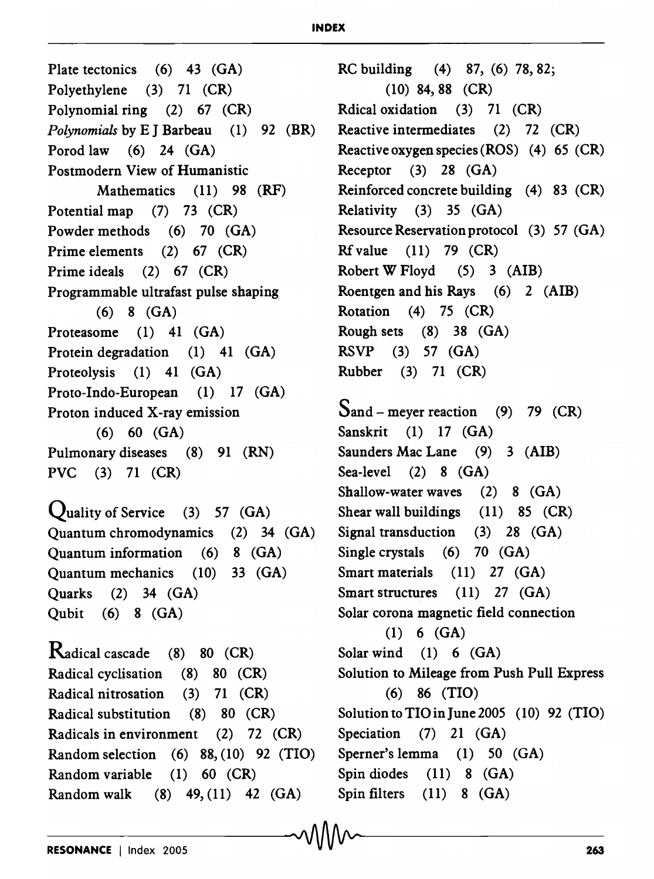## **INDEX**

Plate tectonics (6) 43 (GA) Polyethylene (3) 71 (CR) Polynomial ring (2) 67 (CR) *Polynomials* by E J Barbeau (1) 92 (BR) Porod law (6) 24 (GA) Postmodern View of Humanistic Mathematics (11) 98 (RF) Potential map (7) 73 (CR) Powder methods (6) 70 (GA) Prime elements (2) 67 (CR) Prime ideals (2) 67 (CR) Programmable ultrafast pulse shaping (6) 8 (GA) Proteasome (1) 41 (GA) Protein degradation (1) 41 (GA) Proteolysis (1) 41 (GA) Proto-Indo-European (1) 17 (GA) Proton induced X-ray emission (6) 60 (GA) Pulmonary diseases (8) 91 (RN) PVC (3) 71 (CR) **Quality of Service** (3) 57  $(GA)$ Quantum chromodynamics  $(2)$  34  $(GA)$ Quantum information (6) 8 (GA) Quantum mechanics (10) 33 (GA) Quarks (2) 34 (GA) Qubit (6) 8 (GA) Radical cascade (8) 80 (CR) Radical cyclisation (8) 80 (CR)

RC building (4) 87, (6) 78,82; (10) 84, 88 (CR) Rdical oxidation (3) 71 (CR) Reactive intermediates (2) 72 (CR) Reactive oxygen species (ROS) (4) 65 (CR) Receptor (3) 28 (GA) Reinforced concrete building (4) 83 (CR) Relativity (3) 35 (GA) Resource Reservation protocol (3) 57 (GA) Rfvalue (11) 79 (CR) Robert W Floyd (5) 3 (AlB) Roentgen and his Rays (6) 2 (AlB) Rotation (4) 75 (CR) Rough sets (8) 38 (GA) RSVP (3) 57 (GA) Rubber (3) 71 (CR)

 $S$ and – meyer reaction (9) 79 (CR) Sanskrit (1) 17 (GA) Saunders Mac Lane (9) 3 (AIB) Sea-level (2) 8 (GA) Shallow-water waves  $(2)$  8  $(GA)$ Shear wall buildings (11) 85 (CR) Signal transduction (3) 28 (GA) Single crystals (6) 70 (GA) Smart materials (11) 27 (GA) Smart structures (11) 27 (GA) Solar corona magnetic field connection (1) 6 (GA) Solar wind (1) 6 (GA) Solution to Mileage from Push Pull Express (6) 86 (TIO) Solution to TIO in June 2005 (10) 92 (TIO) Speciation (7) 21 (GA) Sperner's lemma (1) 50 (GA) Spin diodes (11) 8 (GA)

Spin filters (11) 8 (GA)

Radical nitrosation (3) 71 (CR) Radical substitution (8) 80 (CR) Radicals in environment (2) 72 (CR) Random selection (6) 88, (10) 92 (TIO)

Random variable (1) 60 (CR)

Random walk (8) 49, (11) 42 (GA)